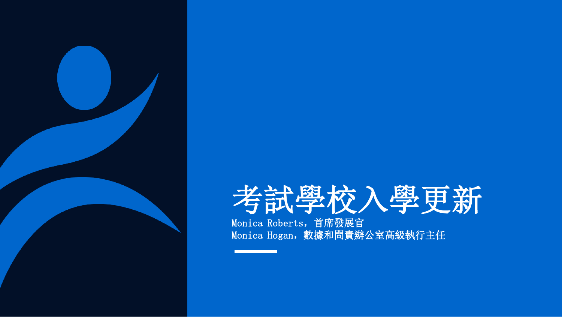

# 考試學校入學更新

Monica Roberts,首席發展官 Monica Hogan,數據和問責辦公室高級執行主任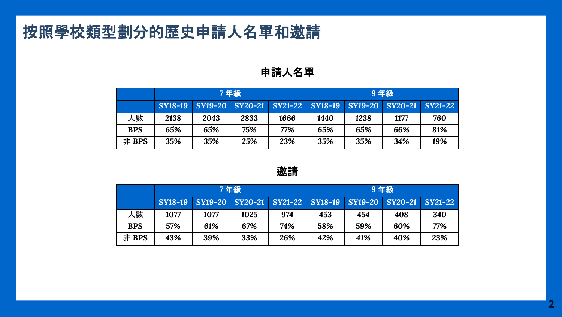# 按照學校類型劃分的歷史申請人名單和邀請

#### 申請人名單

|            | 7年級            |                                 |      |      | 9年級  |                |                 |     |
|------------|----------------|---------------------------------|------|------|------|----------------|-----------------|-----|
|            | <b>SY18-19</b> | SY19-20 SY20-21 SY21-22 SY18-19 |      |      |      | <b>SY19-20</b> | SY20-21 SY21-22 |     |
| 人數         | 2138           | 2043                            | 2833 | 1666 | 1440 | 1238           | 1177            | 760 |
| <b>BPS</b> | 65%            | 65%                             | 75%  | 77%  | 65%  | 65%            | 66%             | 81% |
| 非 BPS      | 35%            | 35%                             | 25%  | 23%  | 35%  | 35%            | 34%             | 19% |

#### 邀請

|            | 7年級     |      |      | 9年級                     |     |     |                                 |     |
|------------|---------|------|------|-------------------------|-----|-----|---------------------------------|-----|
|            | SY18-19 |      |      | SY19-20 SY20-21 SY21-22 |     |     | SY18-19 SY19-20 SY20-21 SY21-22 |     |
| 人數         | 1077    | 1077 | 1025 | 974                     | 453 | 454 | 408                             | 340 |
| <b>BPS</b> | 57%     | 61%  | 67%  | 74%                     | 58% | 59% | 60%                             | 77% |
| 非 BPS      | 43%     | 39%  | 33%  | 26%                     | 42% | 41% | 40%                             | 23% |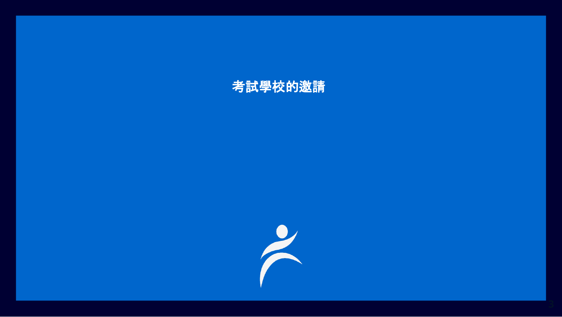#### 考試學校的邀請

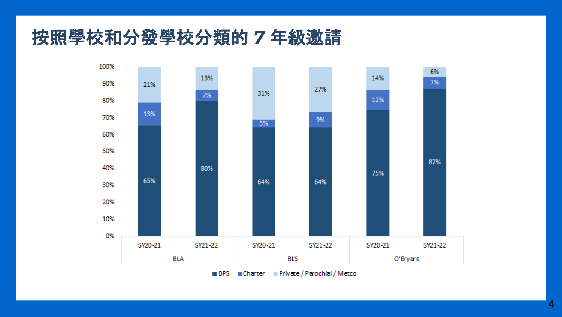# 按照學校和分發學校分類的 *7* 年級邀請

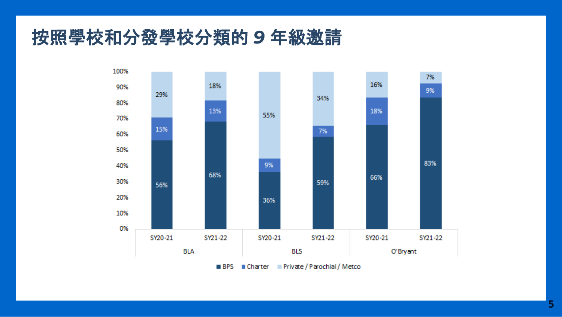# 按照學校和分發學校分類的 *9* 年級邀請

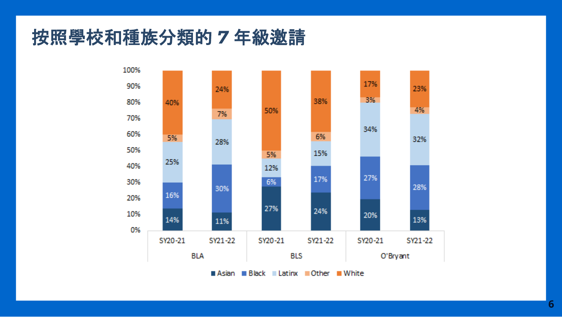# 按照學校和種族分類的 *7* 年級邀請

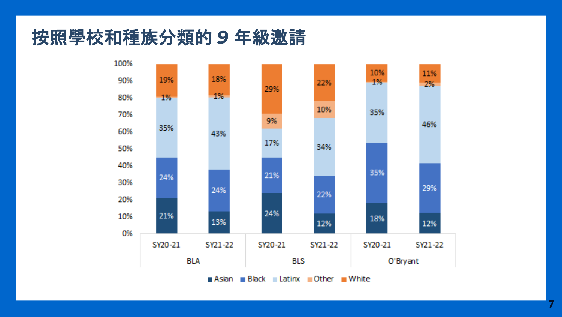# 按照學校和種族分類的 *9* 年級邀請

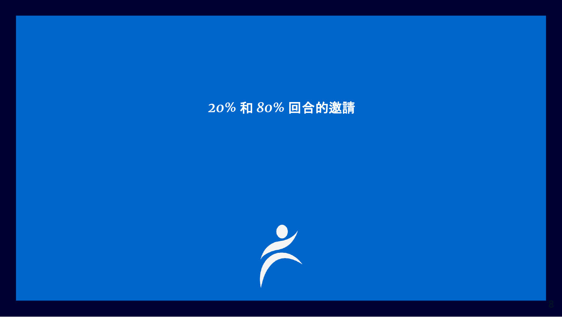#### *20%* 和 *80%* 回合的邀請

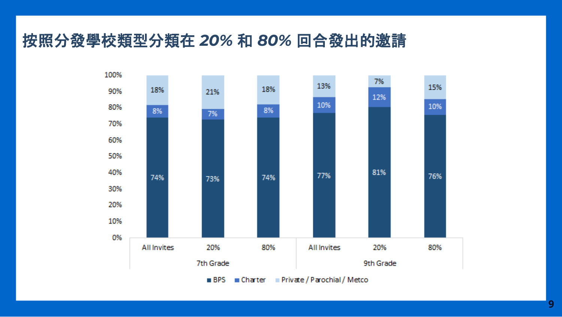### 按照分發學校類型分類在 *20%* 和 *80%* 回合發出的邀請

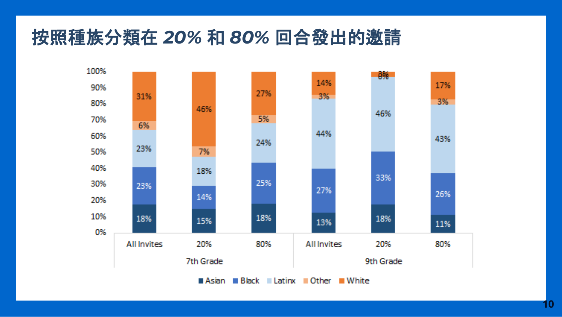# 按照種族分類在 *20%* 和 *80%* 回合發出的邀請

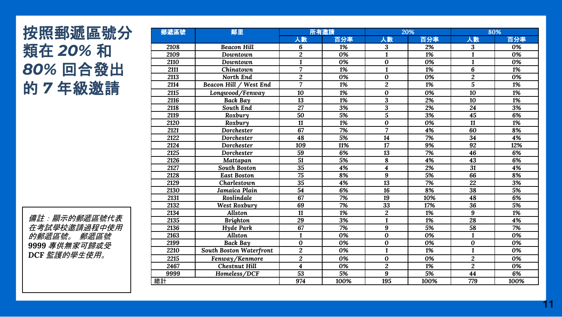### 按照郵遞區號分 類在 *20%*  和 *80%* 回合發出 的 *7* 年級邀請

備註:顯示的郵遞區號代表 在考試學校邀請過程中使用 的郵遞區號。 郵遞區號 專供無家可歸或受 *DCF* 監護的學生使用。

| 鄰里<br>郵遞區號 |                         | 所有邀請                    |      | 20%                     |      | 80%                     |      |
|------------|-------------------------|-------------------------|------|-------------------------|------|-------------------------|------|
|            |                         | 人數                      | 百分率  | 人數                      | 百分率  | 人數                      | 百分率  |
| 2108       | <b>Beacon Hill</b>      | 6                       | 1%   | 3                       | 2%   | 3                       | 0%   |
| 2109       | Downtown                | $\overline{c}$          | 0%   | $\mathbf{1}$            | 1%   | $\mathbf{1}$            | 0%   |
| 2110       | Downtown                | $\overline{\mathbf{1}}$ | 0%   | $\bf{0}$                | 0%   | $\mathbf{1}$            | 0%   |
| 2111       | Chinatown               | $\overline{7}$          | 1%   | 1                       | 1%   | 6                       | 1%   |
| 2113       | North End               | $\overline{c}$          | 0%   | $\bf{0}$                | 0%   | $\overline{2}$          | 0%   |
| 2114       | Beacon Hill / West End  | 7                       | 1%   | $\overline{c}$          | 1%   | $\overline{5}$          | 1%   |
| 2115       | Longwood/Fenway         | 10                      | 1%   | $\bf{0}$                | 0%   | 10                      | 1%   |
| 2116       | Back Bay                | 13                      | 1%   | 3                       | 2%   | 10                      | 1%   |
| 2118       | South End               | $\overline{27}$         | 3%   | $\overline{\mathbf{3}}$ | 2%   | $\overline{24}$         | 3%   |
| 2119       | Roxbury                 | 50                      | 5%   | $\overline{5}$          | 3%   | 45                      | 6%   |
| 2120       | Roxbury                 | 11                      | 1%   | $\bf{0}$                | 0%   | 11                      | 1%   |
| 2121       | Dorchester              | 67                      | 7%   | 7                       | 4%   | 60                      | 8%   |
| 2122       | <b>Dorchester</b>       | 48                      | 5%   | 14                      | 7%   | 34                      | 4%   |
| 2124       | Dorchester              | 109                     | 11%  | 17                      | 9%   | 92                      | 12%  |
| 2125       | <b>Dorchester</b>       | 59                      | 6%   | 13                      | 7%   | 46                      | 6%   |
| 2126       | Mattapan                | 51                      | 5%   | 8                       | 4%   | 43                      | 6%   |
| 2127       | <b>South Boston</b>     | $\overline{35}$         | 4%   | 4                       | 2%   | $\overline{31}$         | 4%   |
| 2128       | <b>East Boston</b>      | 75                      | 8%   | 9                       | 5%   | 66                      | 8%   |
| 2129       | Charlestown             | 35                      | 4%   | 13                      | 7%   | 22                      | 3%   |
| 2130       | Jamaica Plain           | $\overline{54}$         | 6%   | $\overline{16}$         | 8%   | $\overline{38}$         | 5%   |
| 2131       | Roslindale              | 67                      | 7%   | 19                      | 10%  | 48                      | 6%   |
| 2132       | West Roxbury            | 69                      | 7%   | 33                      | 17%  | 36                      | 5%   |
| 2134       | <b>Allston</b>          | 11                      | 1%   | $\overline{2}$          | 1%   | 9                       | 1%   |
| 2135       | <b>Brighton</b>         | 29                      | 3%   | $\mathbf{1}$            | 1%   | 28                      | 4%   |
| 2136       | Hyde Park               | 67                      | 7%   | $\overline{9}$          | 5%   | $\overline{58}$         | 7%   |
| 2163       | <b>Allston</b>          | $\mathbf{1}$            | 0%   | $\bf{0}$                | 0%   | $\mathbf{1}$            | 0%   |
| 2199       | <b>Back Bay</b>         | 0                       | 0%   | 0                       | 0%   | 0                       | 0%   |
| 2210       | South Boston Waterfront | $\overline{2}$          | 0%   | $\overline{\mathbf{1}}$ | 1%   | $\overline{\mathbf{1}}$ | 0%   |
| 2215       | Fenway/Kenmore          | $\overline{c}$          | 0%   | $\bf{0}$                | 0%   | $\overline{c}$          | 0%   |
| 2467       | <b>Chestnut Hill</b>    | $\overline{\mathbf{4}}$ | 0%   | $\overline{c}$          | 1%   | $\overline{c}$          | 0%   |
| 9999       | Homeless/DCF            | $\overline{53}$         | 5%   | 9                       | 5%   | 44                      | 6%   |
| 總計         |                         | 974                     | 100% | 195                     | 100% | 779                     | 100% |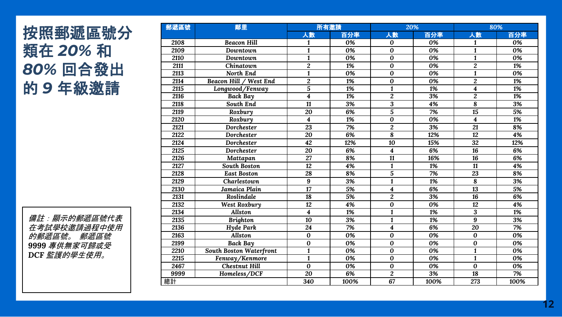### 按照郵遞區號分 類在 *20%*  和 *80%* 回合發出 的 *9* 年級邀請

備註:顯示的郵遞區號代表 在考試學校邀請過程中使用 的郵遞區號。 郵遞區號 專供無家可歸或受 *DCF* 監護的學生使用。

| 郵遞區號 | 鄰里                      | 所有邀請                    |      | 20%<br>80%              |      |                         |      |
|------|-------------------------|-------------------------|------|-------------------------|------|-------------------------|------|
|      |                         | 人數                      | 百分率  | 人數                      | 百分率  | 人數                      | 百分率  |
| 2108 | <b>Beacon Hill</b>      | 1                       | 0%   | $\bf{0}$                | 0%   | 1                       | 0%   |
| 2109 | Downtown                | $\mathbf{1}$            | 0%   | $\bf{0}$                | 0%   | $\mathbf{1}$            | 0%   |
| 2110 | Downtown                | $\mathbf{1}$            | 0%   | $\bf{0}$                | 0%   | $\mathbf{1}$            | 0%   |
| 2111 | Chinatown               | $\overline{c}$          | 1%   | $\bf{0}$                | 0%   | $\overline{2}$          | 1%   |
| 2113 | North End               | $\mathbf{1}$            | 0%   | $\bf{0}$                | 0%   | $\mathbf{1}$            | 0%   |
| 2114 | Beacon Hill / West End  | $\overline{2}$          | 1%   | $\bf{0}$                | 0%   | $\overline{2}$          | 1%   |
| 2115 | Longwood/Fenway         | $\overline{5}$          | 1%   | $\mathbf{1}$            | 1%   | $\overline{\mathbf{4}}$ | 1%   |
| 2116 | <b>Back Bay</b>         | $\overline{\mathbf{4}}$ | 1%   | $\overline{c}$          | 3%   | $\overline{2}$          | 1%   |
| 2118 | South End               | 11                      | 3%   | 3                       | 4%   | 8                       | 3%   |
| 2119 | Roxbury                 | 20                      | 6%   | $\overline{5}$          | 7%   | $\overline{15}$         | 5%   |
| 2120 | Roxbury                 | $\overline{\mathbf{4}}$ | 1%   | $\bf{0}$                | 0%   | $\overline{\mathbf{4}}$ | 1%   |
| 2121 | Dorchester              | 23                      | 7%   | $\overline{2}$          | 3%   | 21                      | 8%   |
| 2122 | Dorchester              | 20                      | 6%   | 8                       | 12%  | 12                      | 4%   |
| 2124 | Dorchester              | 42                      | 12%  | 10                      | 15%  | 32                      | 12%  |
| 2125 | Dorchester              | 20                      | 6%   | $\overline{\mathbf{4}}$ | 6%   | 16                      | 6%   |
| 2126 | Mattapan                | 27                      | 8%   | 11                      | 16%  | 16                      | 6%   |
| 2127 | <b>South Boston</b>     | $\overline{12}$         | 4%   | $\mathbf{1}$            | 1%   | $\overline{11}$         | 4%   |
| 2128 | <b>East Boston</b>      | 28                      | 8%   | 5                       | 7%   | 23                      | 8%   |
| 2129 | Charlestown             | 9                       | 3%   | $\mathbf{1}$            | 1%   | 8                       | 3%   |
| 2130 | Jamaica Plain           | 17                      | 5%   | $\overline{\mathbf{4}}$ | 6%   | 13                      | 5%   |
| 2131 | Roslindale              | 18                      | 5%   | $\overline{2}$          | 3%   | 16                      | 6%   |
| 2132 | West Roxbury            | 12                      | 4%   | $\bf{0}$                | 0%   | 12                      | 4%   |
| 2134 | Allston                 | $\overline{\mathbf{4}}$ | 1%   | $\mathbf{1}$            | 1%   | 3                       | 1%   |
| 2135 | <b>Brighton</b>         | 10                      | 3%   | $\mathbf{1}$            | 1%   | 9                       | 3%   |
| 2136 | Hyde Park               | 24                      | 7%   | $\overline{\mathbf{4}}$ | 6%   | 20                      | 7%   |
| 2163 | Allston                 | $\bf{0}$                | 0%   | $\bf{0}$                | 0%   | $\bf{0}$                | 0%   |
| 2199 | <b>Back Bay</b>         | 0                       | 0%   | $\bf{0}$                | 0%   | 0                       | 0%   |
| 2210 | South Boston Waterfront | $\mathbf{1}$            | 0%   | $\bf{0}$                | 0%   | $\mathbf{1}$            | 0%   |
| 2215 | Fenway/Kenmore          | $\mathbf{1}$            | 0%   | $\bf{0}$                | 0%   | $\mathbf{1}$            | 0%   |
| 2467 | <b>Chestnut Hill</b>    | $\overline{0}$          | 0%   | $\bf{0}$                | 0%   | $\bf{0}$                | 0%   |
| 9999 | Homeless/DCF            | 20                      | 6%   | $\overline{c}$          | 3%   | 18                      | 7%   |
| 總計   |                         | 340                     | 100% | 67                      | 100% | 273                     | 100% |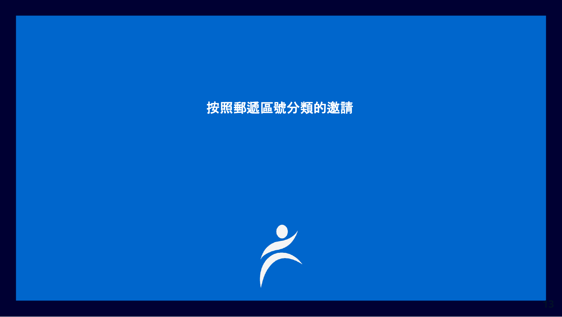### 按照郵遞區號分類的邀請

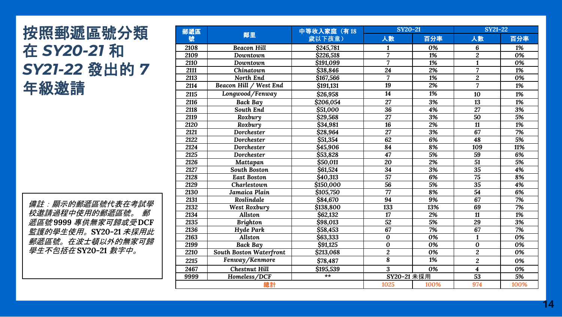#### 按照郵遞區號分類 在 *SY20-21* 和 *SY21 -22* 發出的 *7*  年級邀請

備註:顯示的郵遞區號代表在考試學 校邀請過程中使用的郵遞區號。 郵 遞區號 *9999* 專供無家可歸或受 *DCF*  監護的學生使用。*SY20 -21* 未採用此 郵遞區號。在波士頓以外的無家可歸 *學生不包括在* SY20-21 *數字中。* 

| 郵遞區              |                                | 中等收入家庭 (有18          | SY20-21         |                  | <b>SY21-22</b>          |      |  |
|------------------|--------------------------------|----------------------|-----------------|------------------|-------------------------|------|--|
| 號                | 鄰里                             | 歲以下孩童)               | 人數              | 百分率              | 人數                      | 百分率  |  |
| 2108             | <b>Beacon Hill</b>             | \$245,781            | 1               | 0%               | 6                       | 1%   |  |
| 2109<br>Downtown |                                | \$226,518            | $\overline{7}$  | 1%               | $\overline{c}$          | 0%   |  |
| 2110             | Downtown                       | \$191.099            | 7               | 1%               | $\mathbf{1}$            | 0%   |  |
| 2111             | Chinatown                      | \$38,846             | 24              | 2%               | $\overline{7}$          | 1%   |  |
| 2113             | North End                      | \$167,566            | $\overline{7}$  | 1%               | $\overline{2}$          | 0%   |  |
| 2114             | Beacon Hill / West End         | \$191,131            | 19              | 2%               | $\overline{7}$          | 1%   |  |
| 2115             | Longwood/Fenway                | \$26,958             | 14              | 1%               | 10                      | 1%   |  |
| 2116             | <b>Back Bay</b>                | \$206.054            | 27              | 3%               | 13                      | 1%   |  |
| 2118             | South End                      | \$51,000             | $\overline{36}$ | 4%               | 27                      | 3%   |  |
| 2119             | Roxbury                        | \$29,568             | 27              | 3%               | 50                      | 5%   |  |
| 2120             | Roxbury                        | \$34,981             | 16              | 2%               | 11                      | 1%   |  |
| 2121             | Dorchester                     | \$28,964             | $\overline{27}$ | $\overline{3\%}$ | 67                      | 7%   |  |
| 2122             | Dorchester                     | \$51,354             | 62              | 6%               | 48                      | 5%   |  |
| 2124             | Dorchester                     | \$45,906             | 84              | 8%               | 109                     | 11%  |  |
| 2125             | Dorchester                     | \$53,828             | 47              | 5%               | 59                      | 6%   |  |
| 2126             | Mattapan                       | $\overline{$}50,011$ | 20              | 2%               | 51                      | 5%   |  |
| 2127             | <b>South Boston</b>            | \$61,524             | 34              | 3%               | 35                      | 4%   |  |
| 2128             | <b>East Boston</b>             | \$40,313             | $\overline{57}$ | 6%               | $\overline{75}$         | 8%   |  |
| 2129             | Charlestown                    | \$150,000            | $\overline{56}$ | 5%               | 35                      | 4%   |  |
| 2130             | Jamaica Plain                  | \$105,750            | 77              | 8%               | $\overline{54}$         | 6%   |  |
| 2131             | Roslindale                     | \$84,670             | 94              | 9%               | 67                      | 7%   |  |
| 2132             | West Roxbury                   | \$138,800            | 133             | 13%              | 69                      | 7%   |  |
| 2134             | Allston                        | \$62,132             | 17              | 2%               | 11                      | 1%   |  |
| 2135             | <b>Brighton</b>                | \$98,013             | 52              | 5%               | 29                      | 3%   |  |
| 2136             | Hyde Park                      | \$58,453             | 67              | 7%               | 67                      | 7%   |  |
| 2163             | <b>Allston</b>                 | \$63,333             | $\bf{0}$        | 0%               | $\mathbf{1}$            | 0%   |  |
| 2199             | <b>Back Bay</b>                | \$91,125             | $\bf{0}$        | 0%               | $\bf{0}$                | 0%   |  |
| 2210             | <b>South Boston Waterfront</b> | \$213,068            | $\overline{c}$  | 0%               | $\overline{2}$          | 0%   |  |
| 2215             | Fenway/Kenmore                 | \$78,487             | 8               | 1%               | $\overline{2}$          | 0%   |  |
| 2467             | <b>Chestnut Hill</b>           | \$195,539            | 3               | 0%               | $\overline{\mathbf{4}}$ | 0%   |  |
| 9999             | Homeless/DCF                   | **                   | SY20-21 未採用     |                  | 53                      | 5%   |  |
|                  | 總計                             |                      | 1025            | 100%             | 974                     | 100% |  |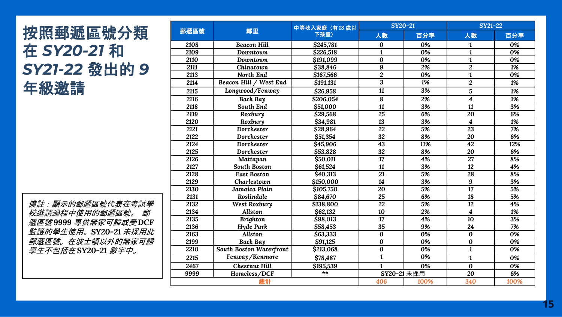#### 按照郵遞區號分類 在 *SY20-21* 和 *SY21 -22* 發出的 *9*  年級邀請

備註:顯示的郵遞區號代表在考試學 校邀請過程中使用的郵遞區號。 郵 遞區號 *9999* 專供無家可歸或受 *DCF*  監護的學生使用。*SY20 -21* 未採用此 郵遞區號。在波士頓以外的無家可歸 *學生不包括在* SY20-21 *數字中。* 

|      |                         | 中等收入家庭 (有18 歲以 |                 | SY20-21 | <b>SY21-22</b>          |                  |  |
|------|-------------------------|----------------|-----------------|---------|-------------------------|------------------|--|
| 郵遞區號 | 鄰里                      | 下孩童)           | 人數              | 百分率     | 人數                      | 百分率              |  |
| 2108 | <b>Beacon Hill</b>      | \$245,781      | 0               | 0%      | 1                       | 0%               |  |
| 2109 | Downtown                | \$226,518      | $\mathbf{1}$    | 0%      | $\mathbf{1}$            | 0%               |  |
| 2110 | Downtown                | \$191,099      | $\bf{0}$        | 0%      | $\mathbf{1}$            | 0%               |  |
| 2111 | Chinatown               | \$38,846       | 9               | 2%      | $\overline{2}$          | 1%               |  |
| 2113 | North End               | \$167,566      | $\overline{2}$  | 0%      | $\mathbf{1}$            | 0%               |  |
| 2114 | Beacon Hill / West End  | \$191,131      | 3               | 1%      | $\overline{c}$          | 1%               |  |
| 2115 | Longwood/Fenway         | \$26,958       | 11              | 3%      | 5                       | 1%               |  |
| 2116 | <b>Back Bay</b>         | \$206,054      | 8               | 2%      | $\overline{\mathbf{4}}$ | 1%               |  |
| 2118 | South End               | \$51,000       | $\overline{11}$ | 3%      | $\overline{11}$         | 3%               |  |
| 2119 | Roxbury                 | \$29,568       | 25              | 6%      | 20                      | 6%               |  |
| 2120 | Roxbury                 | \$34,981       | $\overline{13}$ | 3%      | $\overline{\mathbf{4}}$ | 1%               |  |
| 2121 | Dorchester              | \$28,964       | 22              | 5%      | $\overline{23}$         | 7%               |  |
| 2122 | Dorchester              | \$51,354       | 32              | 8%      | 20                      | 6%               |  |
| 2124 | Dorchester              | \$45,906       | 43              | 11%     | $\overline{42}$         | 12%              |  |
| 2125 | Dorchester              | \$53,828       | 32              | 8%      | 20                      | 6%               |  |
| 2126 | Mattapan                | \$50,011       | 17              | 4%      | 27                      | 8%               |  |
| 2127 | <b>South Boston</b>     | \$61,524       | 11              | 3%      | 12                      | 4%               |  |
| 2128 | <b>East Boston</b>      | \$40,313       | 21              | 5%      | 28                      | 8%               |  |
| 2129 | Charlestown             | \$150,000      | 14              | 3%      | 9                       | 3%               |  |
| 2130 | Jamaica Plain           | \$105,750      | 20              | 5%      | 17                      | 5%               |  |
| 2131 | Roslindale              | \$84,670       | $\overline{25}$ | 6%      | 18                      | 5%               |  |
| 2132 | <b>West Roxbury</b>     | \$138,800      | $\overline{22}$ | 5%      | 12                      | 4%               |  |
| 2134 | Allston                 | \$62,132       | 10              | 2%      | $\overline{\mathbf{4}}$ | 1%               |  |
| 2135 | <b>Brighton</b>         | \$98,013       | $\overline{17}$ | 4%      | 10                      | $\overline{3\%}$ |  |
| 2136 | Hyde Park               | \$58,453       | 35              | 9%      | 24                      | 7%               |  |
| 2163 | <b>Allston</b>          | \$63,333       | $\bf{0}$        | 0%      | $\bf{0}$                | 0%               |  |
| 2199 | <b>Back Bay</b>         | \$91.125       | 0               | 0%      | $\bf{0}$                | 0%               |  |
| 2210 | South Boston Waterfront | \$213,068      | $\bf{0}$        | 0%      | $\mathbf{1}$            | 0%               |  |
| 2215 | Fenway/Kenmore          | \$78,487       | $\mathbf{1}$    | 0%      | $\mathbf{1}$            | 0%               |  |
| 2467 | <b>Chestnut Hill</b>    | \$195,539      | 1               | 0%      | $\overline{0}$          | 0%               |  |
| 9999 | Homeless/DCF            | $**$           | SY20-21 未採用     |         | 20                      | 6%               |  |
| 總計   |                         | 406            | 100%            | 340     | 100%                    |                  |  |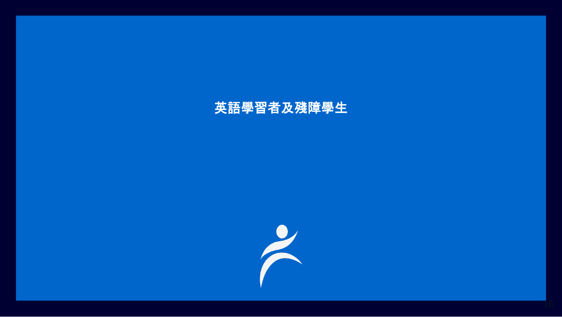#### 英語學習者及殘障學生

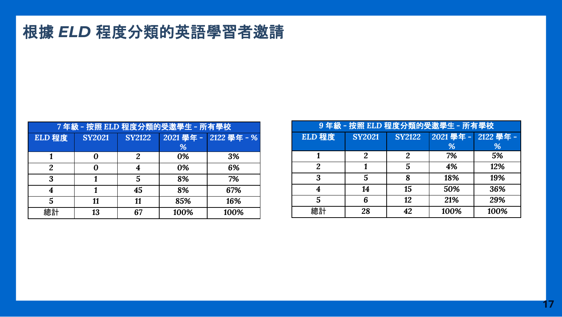### 根據 *ELD* 程度分類的英語學習者邀請

| 7年級 - 按照 ELD 程度分類的受邀學生 - 所有學校 |               |               |      |                       |  |  |  |
|-------------------------------|---------------|---------------|------|-----------------------|--|--|--|
| ELD 程度                        | <b>SY2021</b> | <b>SY2122</b> |      | 2021 學年 - 2122 學年 - % |  |  |  |
|                               |               |               | %    |                       |  |  |  |
|                               |               | 2             | 0%   | 3%                    |  |  |  |
| 2                             |               |               | 0%   | 6%                    |  |  |  |
| 3                             |               | 5             | 8%   | 7%                    |  |  |  |
| 4                             |               | 45            | 8%   | 67%                   |  |  |  |
| 5                             | 11            | 11            | 85%  | 16%                   |  |  |  |
| 總計                            | 13            | 67            | 100% | 100%                  |  |  |  |

| 9年級 - 按照 ELD 程度分類的受邀學生 - 所有學校 |               |               |          |           |  |  |  |
|-------------------------------|---------------|---------------|----------|-----------|--|--|--|
| ELD 程度                        | <b>SY2021</b> | <b>SY2122</b> | 2021學年 - | 2122 學年 - |  |  |  |
|                               |               |               | %        | %         |  |  |  |
|                               | 2             | 2             | 7%       | 5%        |  |  |  |
| $\overline{2}$                |               | 5             | 4%       | 12%       |  |  |  |
| 3                             | 5             | 8             | 18%      | 19%       |  |  |  |
| 4                             | 14            | 15            | 50%      | 36%       |  |  |  |
| 5                             | 6             | 12            | 21%      | 29%       |  |  |  |
| 總計                            | 28            | 42            | 100%     | 100%      |  |  |  |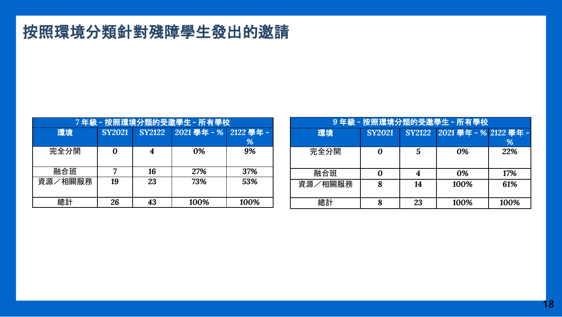# 按照環境分類針對殘障學生發出的邀請

| 7 年級 - 按照環境分類的受邀學生 - 所有學校 |               |               |                    |      |  |  |  |  |
|---------------------------|---------------|---------------|--------------------|------|--|--|--|--|
| 環境                        | <b>SY2021</b> | <b>SY2122</b> | 2021學年-% 2122 學年 - |      |  |  |  |  |
|                           |               |               |                    | %    |  |  |  |  |
| 完全分開                      |               |               | 0%                 | 9%   |  |  |  |  |
|                           |               |               |                    |      |  |  |  |  |
| 融合班                       |               | 16            | 27%                | 37%  |  |  |  |  |
| 資源/相關服務                   | 19            | 23            | 73%                | 53%  |  |  |  |  |
|                           |               |               |                    |      |  |  |  |  |
| 總計                        | 26            | 43            | 100%               | 100% |  |  |  |  |

| 9年級 - 按照環境分類的受邀學生 - 所有學校 |               |    |                              |      |  |  |  |
|--------------------------|---------------|----|------------------------------|------|--|--|--|
| 環境                       | <b>SY2021</b> |    | SY2122 2021 學年 - % 2122 學年 - |      |  |  |  |
|                          |               |    |                              | %    |  |  |  |
| 完全分開                     | 0             | .5 | 0%                           | 22%  |  |  |  |
|                          |               |    |                              |      |  |  |  |
| 融合班                      |               |    | 0%                           | 17%  |  |  |  |
| 資源/相關服務                  | ጸ             | 14 | 100%                         | 61%  |  |  |  |
|                          |               |    |                              |      |  |  |  |
| 總計                       |               | 23 | 100%                         | 100% |  |  |  |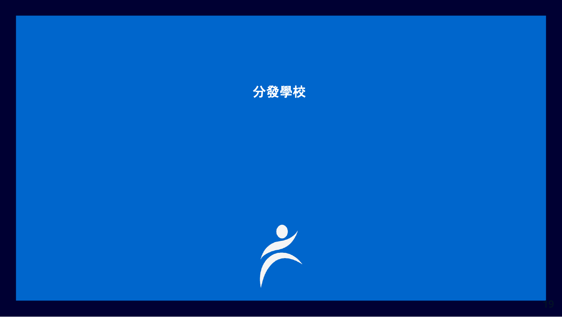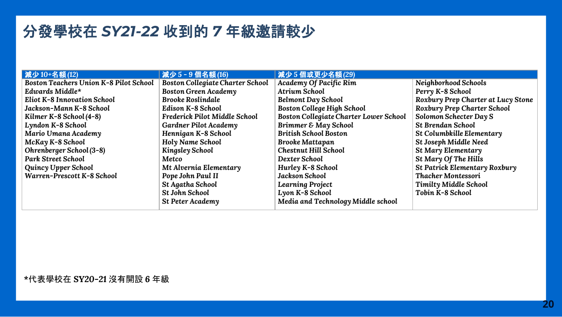#### 分發學校在 *SY21-22* 收到的 *7* 年級邀請較少

| 减少10+名額(12)                                   | 減少5-9個名額(16)                            | 減少5個或更少名額(29)                                 |                                    |
|-----------------------------------------------|-----------------------------------------|-----------------------------------------------|------------------------------------|
| <b>Boston Teachers Union K-8 Pilot School</b> | <b>Boston Collegiate Charter School</b> | Academy Of Pacific Rim                        | Neighborhood Schools               |
| Edwards Middle*                               | <b>Boston Green Academy</b>             | <b>Atrium School</b>                          | Perry K-8 School                   |
| <b>Eliot K-8 Innovation School</b>            | <b>Brooke Roslindale</b>                | Belmont Day School                            | Roxbury Prep Charter at Lucy Stone |
| Jackson-Mann K-8 School                       | Edison K-8 School                       | <b>Boston College High School</b>             | Roxbury Prep Charter School        |
| Kilmer K-8 School (4-8)                       | Frederick Pilot Middle School           | <b>Boston Collegiate Charter Lower School</b> | Solomon Schecter Day S             |
| Lyndon K-8 School                             | Gardner Pilot Academy                   | Brimmer & May School                          | <b>St Brendan School</b>           |
| Mario Umana Academy                           | Hennigan K-8 School                     | <b>British School Boston</b>                  | St Columbkille Elementary          |
| McKay K-8 School                              | Holy Name School                        | <b>Brooke Mattapan</b>                        | St Joseph Middle Need              |
| Ohrenberger School (3-8)                      | <b>Kingsley School</b>                  | <b>Chestnut Hill School</b>                   | St Mary Elementary                 |
| <b>Park Street School</b>                     | Metco                                   | Dexter School                                 | St Mary Of The Hills               |
| Quincy Upper School                           | Mt Alvernia Elementary                  | Hurley K-8 School                             | St Patrick Elementary Roxbury      |
| Warren-Prescott K-8 School                    | Pope John Paul II                       | Jackson School                                | <b>Thacher Montessori</b>          |
|                                               | St Agatha School                        | <b>Learning Project</b>                       | Timilty Middle School              |
|                                               | <b>St John School</b>                   | Lyon K-8 School                               | Tobin K-8 School                   |
|                                               | <b>St Peter Academy</b>                 | Media and Technology Middle school            |                                    |
|                                               |                                         |                                               |                                    |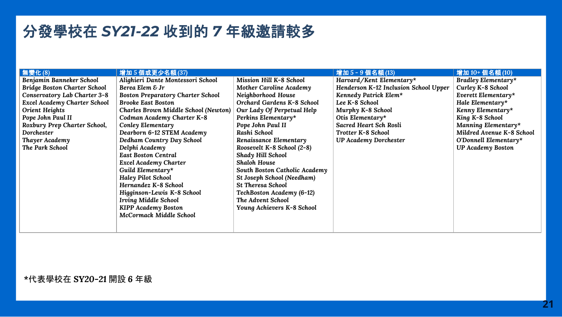#### 分發學校在 *SY21-22* 收到的 *7* 年級邀請較多

| 無變化(8)                              | 增加5個或更少名額(37)                            |                               | 增加 5-9個名額 (13)                        | 增加 10+個名額 (10)            |
|-------------------------------------|------------------------------------------|-------------------------------|---------------------------------------|---------------------------|
| Benjamin Banneker School            | Alighieri Dante Montessori School        | Mission Hill K-8 School       | Harvard/Kent Elementary*              | Bradley Elementary*       |
| <b>Bridge Boston Charter School</b> | Berea Elem & Jr                          | Mother Caroline Academy       | Henderson K-12 Inclusion School Upper | Curley K-8 School         |
| Conservatory Lab Charter 3-8        | <b>Boston Preparatory Charter School</b> | Neighborhood House            | Kennedy Patrick Elem*                 | Everett Elementary*       |
| <b>Excel Academy Charter School</b> | <b>Brooke East Boston</b>                | Orchard Gardens K-8 School    | Lee K-8 School                        | Hale Elementary*          |
| Orient Heights                      | Charles Brown Middle School (Newton)     | Our Lady Of Perpetual Help    | Murphy K-8 School                     | Kenny Elementary*         |
| Pope John Paul II                   | Codman Academy Charter K-8               | Perkins Elementary*           | Otis Elementary*                      | King K-8 School           |
| Roxbury Prep Charter School,        | Conley Elementary                        | Pope John Paul II             | Sacred Heart Sch Rosli                | Manning Elementary*       |
| <b>Dorchester</b>                   | Dearborn 6-12 STEM Academy               | Rashi School                  | Trotter K-8 School                    | Mildred Avenue K-8 School |
| Thayer Academy                      | Dedham Country Day School                | Renaissance Elementary        | <b>UP Academy Dorchester</b>          | O'Donnell Elementary*     |
| The Park School                     | Delphi Academy                           | Roosevelt K-8 School (2-8)    |                                       | <b>UP Academy Boston</b>  |
|                                     | <b>East Boston Central</b>               | Shady Hill School             |                                       |                           |
|                                     | <b>Excel Academy Charter</b>             | <b>Shaloh House</b>           |                                       |                           |
|                                     | Guild Elementary*                        | South Boston Catholic Academy |                                       |                           |
|                                     | Haley Pilot School                       | St Joseph School (Needham)    |                                       |                           |
|                                     | Hernandez K-8 School                     | <b>St Theresa School</b>      |                                       |                           |
|                                     | Higginson-Lewis K-8 School               | TechBoston Academy (6-12)     |                                       |                           |
|                                     | <b>Irving Middle School</b>              | The Advent School             |                                       |                           |
|                                     | <b>KIPP Academy Boston</b>               | Young Achievers K-8 School    |                                       |                           |
|                                     | McCormack Middle School                  |                               |                                       |                           |
|                                     |                                          |                               |                                       |                           |
|                                     |                                          |                               |                                       |                           |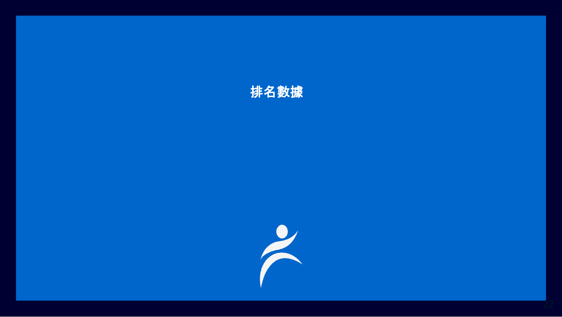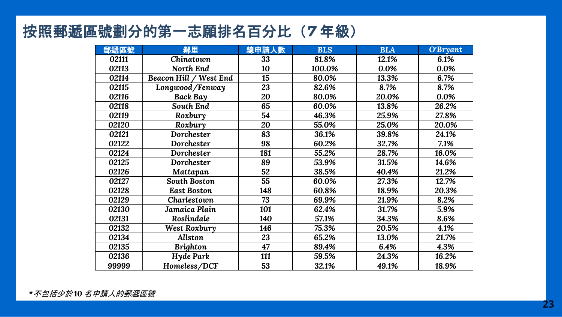### 按照郵遞區號劃分的第一志願排名百分比(*7* 年級)

| 郵遞區號  | 鄰里                     | 總申請人數 | <b>BLS</b> | <b>BLA</b> | O'Bryant |
|-------|------------------------|-------|------------|------------|----------|
| 02111 | Chinatown              | 33    | 81.8%      | 12.1%      | 6.1%     |
| 02113 | North End              | 10    | 100.0%     | 0.0%       | 0.0%     |
| 02114 | Beacon Hill / West End | 15    | 80.0%      | 13.3%      | 6.7%     |
| 02115 | Longwood/Fenway        | 23    | 82.6%      | 8.7%       | 8.7%     |
| 02116 | <b>Back Bay</b>        | 20    | 80.0%      | 20.0%      | 0.0%     |
| 02118 | South End              | 65    | 60.0%      | 13.8%      | 26.2%    |
| 02119 | Roxbury                | 54    | 46.3%      | 25.9%      | 27.8%    |
| 02120 | Roxbury                | 20    | 55.0%      | 25.0%      | 20.0%    |
| 02121 | Dorchester             | 83    | 36.1%      | 39.8%      | 24.1%    |
| 02122 | Dorchester             | 98    | 60.2%      | 32.7%      | 7.1%     |
| 02124 | Dorchester             | 181   | 55.2%      | 28.7%      | 16.0%    |
| 02125 | Dorchester             | 89    | 53.9%      | 31.5%      | 14.6%    |
| 02126 | Mattapan               | 52    | 38.5%      | 40.4%      | 21.2%    |
| 02127 | South Boston           | 55    | 60.0%      | 27.3%      | 12.7%    |
| 02128 | <b>East Boston</b>     | 148   | 60.8%      | 18.9%      | 20.3%    |
| 02129 | Charlestown            | 73    | 69.9%      | 21.9%      | 8.2%     |
| 02130 | Jamaica Plain          | 101   | 62.4%      | 31.7%      | 5.9%     |
| 02131 | Roslindale             | 140   | 57.1%      | 34.3%      | 8.6%     |
| 02132 | West Roxbury           | 146   | 75.3%      | 20.5%      | 4.1%     |
| 02134 | <b>Allston</b>         | 23    | 65.2%      | 13.0%      | 21.7%    |
| 02135 | <b>Brighton</b>        | 47    | 89.4%      | 6.4%       | 4.3%     |
| 02136 | Hyde Park              | 111   | 59.5%      | 24.3%      | 16.2%    |
| 99999 | Homeless/DCF           | 53    | 32.1%      | 49.1%      | 18.9%    |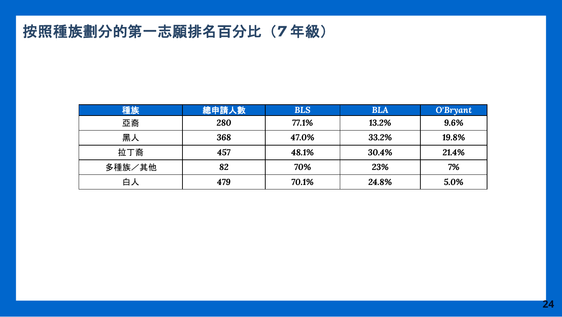### 按照種族劃分的第一志願排名百分比(*7* 年級)

| 種族     | 總申請人數 | <b>BLS</b> | <b>BLA</b> | O'Bryant |
|--------|-------|------------|------------|----------|
| 亞裔     | 280   | 77.1%      | 13.2%      | 9.6%     |
| 黑人     | 368   | 47.0%      | 33.2%      | 19.8%    |
| 拉丁裔    | 457   | 48.1%      | 30.4%      | 21.4%    |
| 多種族/其他 | 82    | 70%        | 23%        | 7%       |
| 白人     | 479   | 70.1%      | 24.8%      | 5.0%     |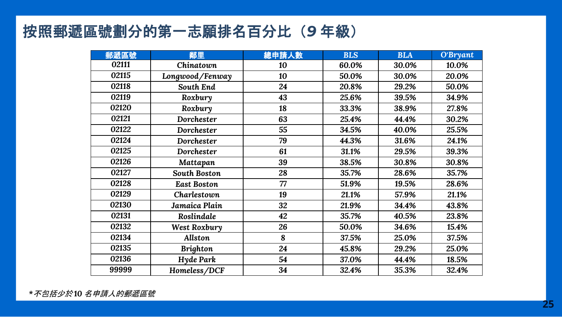### 按照郵遞區號劃分的第一志願排名百分比(*9* 年級)

| 郵遞區號  | 鄰里                 | 總申請人數 | <b>BLS</b> | <b>BLA</b> | O'Bryant |
|-------|--------------------|-------|------------|------------|----------|
| 02111 | Chinatown          | 10    | 60.0%      | 30.0%      | 10.0%    |
| 02115 | Longwood/Fenway    | 10    | 50.0%      | 30.0%      | 20.0%    |
| 02118 | South End          | 24    | 20.8%      | 29.2%      | 50.0%    |
| 02119 | Roxbury            | 43    | 25.6%      | 39.5%      | 34.9%    |
| 02120 | Roxbury            | 18    | 33.3%      | 38.9%      | 27.8%    |
| 02121 | Dorchester         | 63    | 25.4%      | 44.4%      | 30.2%    |
| 02122 | Dorchester         | 55    | 34.5%      | 40.0%      | 25.5%    |
| 02124 | Dorchester         | 79    | 44.3%      | 31.6%      | 24.1%    |
| 02125 | Dorchester         | 61    | 31.1%      | 29.5%      | 39.3%    |
| 02126 | Mattapan           | 39    | 38.5%      | 30.8%      | 30.8%    |
| 02127 | South Boston       | 28    | 35.7%      | 28.6%      | 35.7%    |
| 02128 | <b>East Boston</b> | 77    | 51.9%      | 19.5%      | 28.6%    |
| 02129 | Charlestown        | 19    | 21.1%      | 57.9%      | 21.1%    |
| 02130 | Jamaica Plain      | 32    | 21.9%      | 34.4%      | 43.8%    |
| 02131 | Roslindale         | 42    | 35.7%      | 40.5%      | 23.8%    |
| 02132 | West Roxbury       | 26    | 50.0%      | 34.6%      | 15.4%    |
| 02134 | Allston            | 8     | 37.5%      | 25.0%      | 37.5%    |
| 02135 | <b>Brighton</b>    | 24    | 45.8%      | 29.2%      | 25.0%    |
| 02136 | Hyde Park          | 54    | 37.0%      | 44.4%      | 18.5%    |
| 99999 | Homeless/DCF       | 34    | 32.4%      | 35.3%      | 32.4%    |

*\**不包括少於 *10* 名申請人的郵遞區號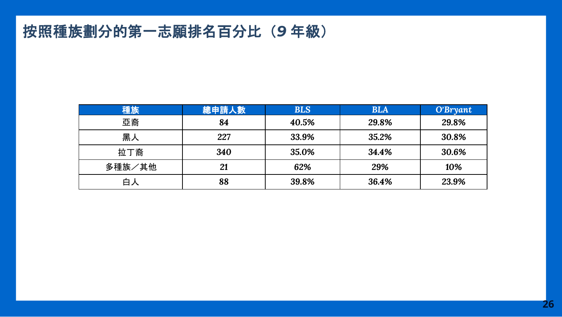### 按照種族劃分的第一志願排名百分比(*9* 年級)

| 種族     | 總申請人數 | <b>BLS</b> | <b>BLA</b> | O'Bryant |
|--------|-------|------------|------------|----------|
| 亞裔     | 84    | 40.5%      | 29.8%      | 29.8%    |
| 黑人     | 227   | 33.9%      | 35.2%      | 30.8%    |
| 拉丁裔    | 340   | 35.0%      | 34.4%      | 30.6%    |
| 多種族/其他 | 21    | 62%        | 29%        | 10%      |
| 白人     | 88    | 39.8%      | 36.4%      | 23.9%    |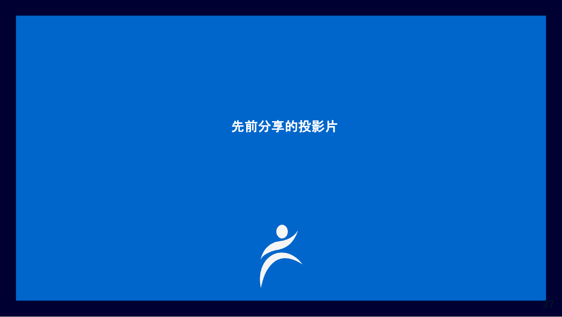### 先前分享的投影片

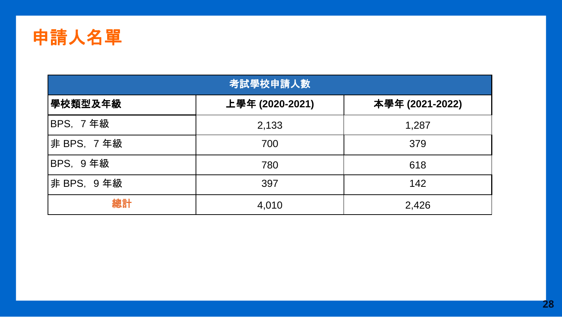

| 考試學校申請人數        |                 |                 |  |  |  |
|-----------------|-----------------|-----------------|--|--|--|
| 學校類型及年級         | 上學年 (2020-2021) | 本學年 (2021-2022) |  |  |  |
| BPS, 7年級        | 2,133           | 1,287           |  |  |  |
| 非 BPS, 7 年級     | 700             | 379             |  |  |  |
| <b>BPS, 9年級</b> | 780             | 618             |  |  |  |
| 非 BPS, 9年級      | 397             | 142             |  |  |  |
| 總計              | 4,010           | 2,426           |  |  |  |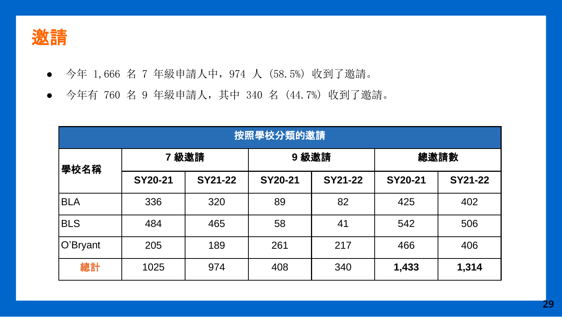

- 今年 1,666 名 7 年級申請人中,974 人 (58.5%) 收到了邀請。
- 今年有 760 名 9 年級申請人,其中 340 名 (44.7%) 收到了邀請。

| 按照學校分類的邀請  |         |         |         |                |         |                |
|------------|---------|---------|---------|----------------|---------|----------------|
| 學校名稱       | 7級邀請    |         | 9級邀請    |                | 總邀請數    |                |
|            | SY20-21 | SY21-22 | SY20-21 | <b>SY21-22</b> | SY20-21 | <b>SY21-22</b> |
| <b>BLA</b> | 336     | 320     | 89      | 82             | 425     | 402            |
| <b>BLS</b> | 484     | 465     | 58      | 41             | 542     | 506            |
| O'Bryant   | 205     | 189     | 261     | 217            | 466     | 406            |
| 總計         | 1025    | 974     | 408     | 340            | 1,433   | 1,314          |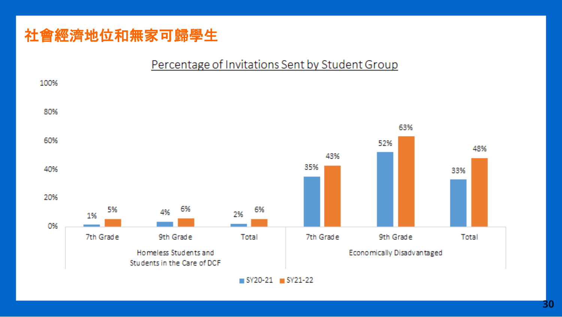### 社會經濟地位和無家可歸學生

#### Percentage of Invitations Sent by Student Group

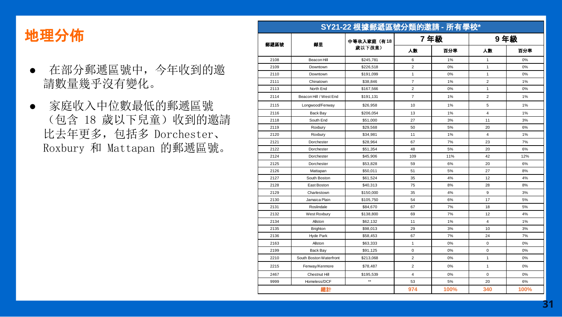#### 地理分佈

- 在部分郵遞區號中,今年收到的邀 請數量幾乎沒有變化。
- 家庭收入中位數最低的郵遞區號 (包含 18 歲以下兒童)收到的邀請 比去年更多,包括多 Dorchester、 Roxbury 和 Mattapan 的郵遞區號。

| 郵遞區號 | 鄰里                      | 中等收入家庭(有18   | 7年級            |     | 9年級                     |     |
|------|-------------------------|--------------|----------------|-----|-------------------------|-----|
|      |                         | 歲以下孩童)       | 人数             | 百分率 | 人数                      | 百分率 |
| 2108 | Beacon Hill             | \$245,781    | 6              | 1%  | 1                       | 0%  |
| 2109 | Downtown                | \$226,518    | $\overline{2}$ | 0%  | $\mathbf{1}$            | 0%  |
| 2110 | Downtown                | \$191,099    | $\mathbf{1}$   | 0%  | $\mathbf{1}$            | 0%  |
| 2111 | Chinatown               | \$38,846     | $\overline{7}$ | 1%  | $\overline{2}$          | 1%  |
| 2113 | North End               | \$167,566    | $\overline{c}$ | 0%  | $\mathbf{1}$            | 0%  |
| 2114 | Beacon Hill / West End  | \$191,131    | $\overline{7}$ | 1%  | $\overline{c}$          | 1%  |
| 2115 | Longwood/Fenway         | \$26,958     | 10             | 1%  | 5                       | 1%  |
| 2116 | Back Bay                | \$206,054    | 13             | 1%  | $\overline{\mathbf{4}}$ | 1%  |
| 2118 | South End               | \$51,000     | 27             | 3%  | 11                      | 3%  |
| 2119 | Roxbury                 | \$29,568     | 50             | 5%  | 20                      | 6%  |
| 2120 | Roxbury                 | \$34.981     | 11             | 1%  | 4                       | 1%  |
| 2121 | Dorchester              | \$28,964     | 67             | 7%  | 23                      | 7%  |
| 2122 | Dorchester              | \$51,354     | 48             | 5%  | 20                      | 6%  |
| 2124 | Dorchester              | \$45,906     | 109            | 11% | 42                      | 12% |
| 2125 | Dorchester              | \$53,828     | 59             | 6%  | 20                      | 6%  |
| 2126 | Mattapan                | \$50,011     | 51             | 5%  | 27                      | 8%  |
| 2127 | South Boston            | \$61,524     | 35             | 4%  | 12                      | 4%  |
| 2128 | East Boston             | \$40.313     | 75             | 8%  | 28                      | 8%  |
| 2129 | Charlestown             | \$150,000    | 35             | 4%  | 9                       | 3%  |
| 2130 | Jamaica Plain           | \$105.750    | 54             | 6%  | 17                      | 5%  |
| 2131 | Roslindale              | \$84,670     | 67             | 7%  | 18                      | 5%  |
| 2132 | West Roxbury            | \$138,800    | 69             | 7%  | 12                      | 4%  |
| 2134 | Allston                 | \$62,132     | 11             | 1%  | $\overline{\mathbf{4}}$ | 1%  |
| 2135 | Brighton                | \$98,013     | 29             | 3%  | 10                      | 3%  |
| 2136 | <b>Hyde Park</b>        | \$58,453     | 67             | 7%  | 24                      | 7%  |
| 2163 | Allston                 | \$63,333     | $\mathbf{1}$   | 0%  | $\mathbf 0$             | 0%  |
| 2199 | <b>Back Bav</b>         | \$91,125     | 0              | 0%  | $\mathbf 0$             | 0%  |
| 2210 | South Boston Waterfront | \$213,068    | $\overline{c}$ | 0%  | $\mathbf{1}$            | 0%  |
| 2215 | Fenway/Kenmore          | \$78,487     | $\overline{c}$ | 0%  | $\mathbf{1}$            | 0%  |
| 2467 | Chestnut Hill           | \$195,539    | 4              | 0%  | $\mathbf 0$             | 0%  |
| 9999 | Homeless/DCF            | $\star\star$ | 53             | 5%  | 20                      | 6%  |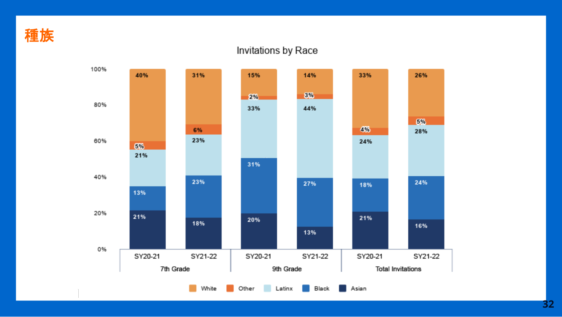

#### Invitations by Race

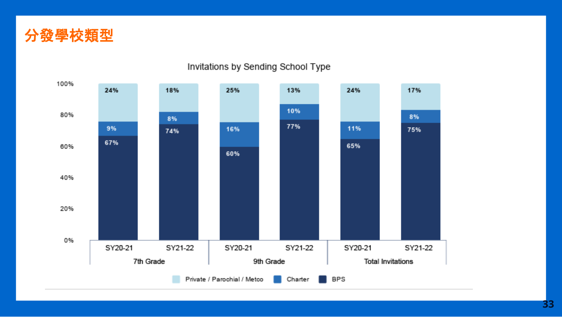



#### Invitations by Sending School Type